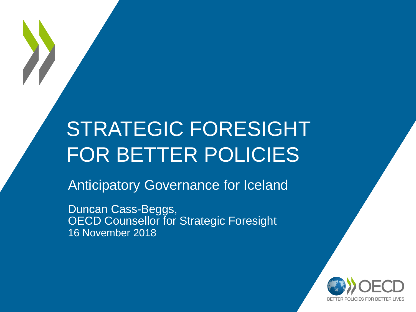## STRATEGIC FORESIGHT FOR BETTER POLICIES

Anticipatory Governance for Iceland

Duncan Cass-Beggs, OECD Counsellor for Strategic Foresight 16 November 2018

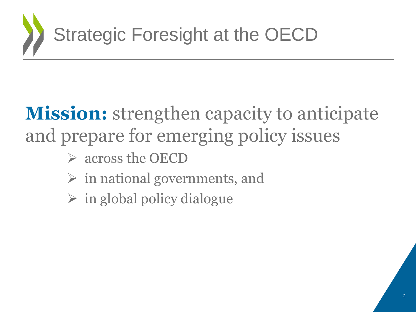

## **Mission:** strengthen capacity to anticipate and prepare for emerging policy issues

- across the OECD
- $\triangleright$  in national governments, and
- $\triangleright$  in global policy dialogue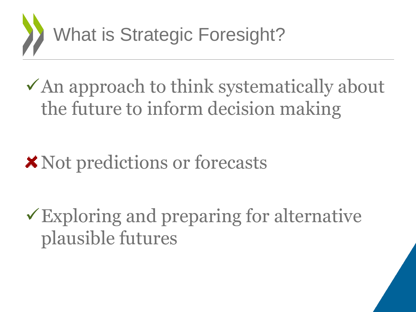

 $\checkmark$  An approach to think systematically about the future to inform decision making

### **\*** Not predictions or forecasts

Exploring and preparing for alternative plausible futures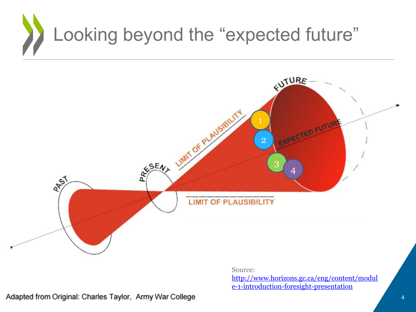# Looking beyond the "expected future"



Source: [http://www.horizons.gc.ca/eng/content/modul](http://www.horizons.gc.ca/eng/content/module-1-introduction-foresight-presentation) e-1-introduction-foresight-presentation

Adapted from Original: Charles Taylor, Army War College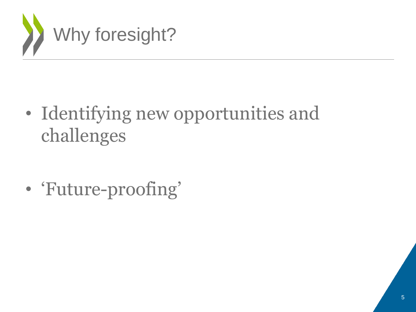

• Identifying new opportunities and challenges

• 'Future-proofing'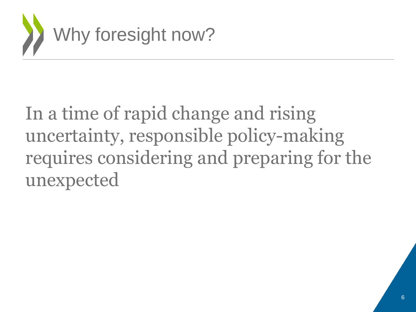

## In a time of rapid change and rising uncertainty, responsible policy-making requires considering and preparing for the unexpected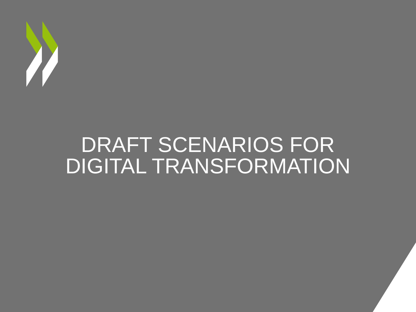

## DRAFT SCENARIOS FOR DIGITAL TRANSFORMATION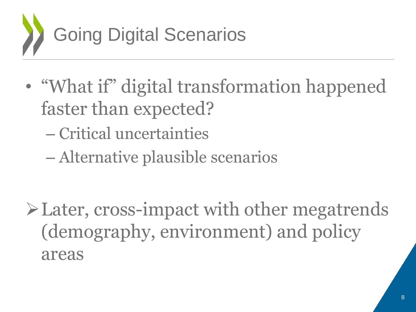

- "What if" digital transformation happened faster than expected?
	- Critical uncertainties
	- Alternative plausible scenarios

Later, cross-impact with other megatrends (demography, environment) and policy areas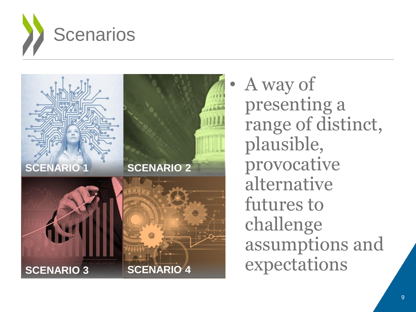



• A way of presenting a range of distinct, plausible, provocative alternative futures to challenge assumptions and expectations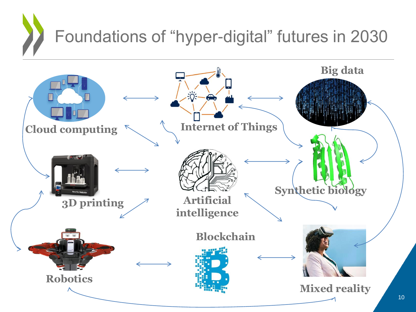## Foundations of "hyper-digital" futures in 2030

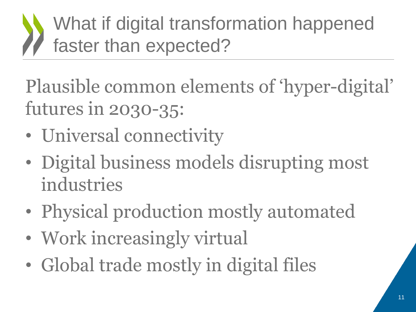## What if digital transformation happened faster than expected?

Plausible common elements of 'hyper-digital' futures in 2030-35:

- Universal connectivity
- Digital business models disrupting most industries
- Physical production mostly automated
- Work increasingly virtual
- Global trade mostly in digital files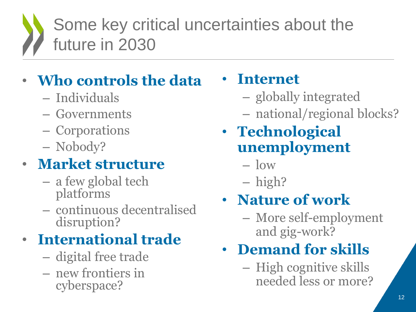## Some key critical uncertainties about the future in 2030

#### • **Who controls the data**

- Individuals
- Governments
- Corporations
- Nobody?

#### • **Market structure**

- a few global tech platforms
- continuous decentralised disruption?

#### • **International trade**

- digital free trade
- new frontiers in cyberspace?

#### • **Internet**

- globally integrated
- national/regional blocks?
- **Technological unemployment** 
	- low
	- high?

#### • **Nature of work**

– More self-employment and gig-work?

#### • **Demand for skills**

– High cognitive skills needed less or more?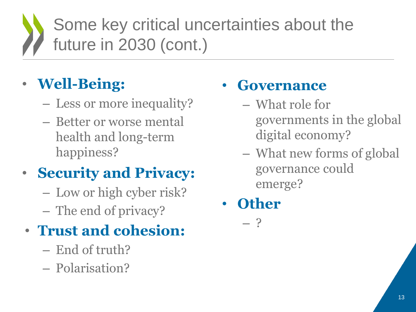## Some key critical uncertainties about the future in 2030 (cont.)

#### • **Well-Being:**

- Less or more inequality?
- Better or worse mental health and long-term happiness?

#### • **Security and Privacy:**

- Low or high cyber risk?
- The end of privacy?

#### • **Trust and cohesion:**

- End of truth?
- Polarisation?

#### • **Governance**

- What role for governments in the global digital economy?
- What new forms of global governance could emerge?
- **Other**

– ?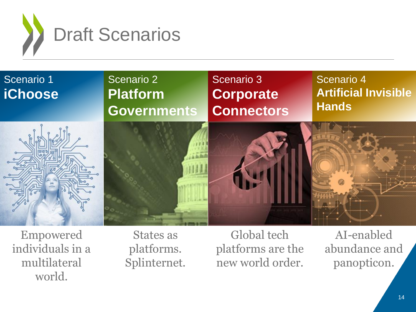



Empowered individuals in a multilateral world.

States as platforms. Splinternet.

Global tech platforms are the new world order.

AI-enabled abundance and panopticon.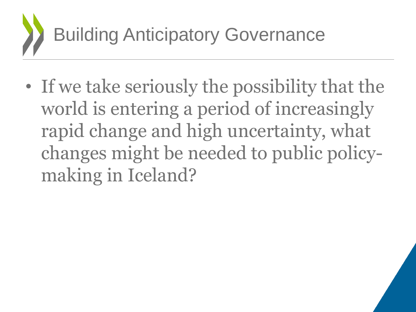

• If we take seriously the possibility that the world is entering a period of increasingly rapid change and high uncertainty, what changes might be needed to public policymaking in Iceland?

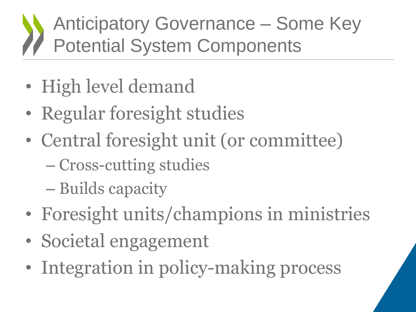## Anticipatory Governance – Some Key Potential System Components

- High level demand
- Regular foresight studies
- Central foresight unit (or committee)
	- Cross-cutting studies
	- Builds capacity
- Foresight units/champions in ministries
- Societal engagement
- Integration in policy-making process